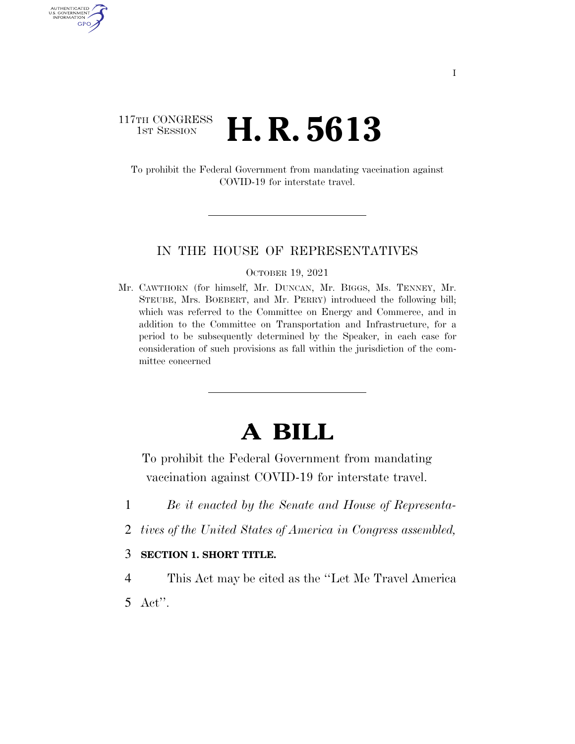## 117TH CONGRESS <sup>TH CONGRESS</sup> **H. R. 5613**

AUTHENTICATED U.S. GOVERNMENT GPO

> To prohibit the Federal Government from mandating vaccination against COVID-19 for interstate travel.

### IN THE HOUSE OF REPRESENTATIVES

#### OCTOBER 19, 2021

Mr. CAWTHORN (for himself, Mr. DUNCAN, Mr. BIGGS, Ms. TENNEY, Mr. STEUBE, Mrs. BOEBERT, and Mr. PERRY) introduced the following bill; which was referred to the Committee on Energy and Commerce, and in addition to the Committee on Transportation and Infrastructure, for a period to be subsequently determined by the Speaker, in each case for consideration of such provisions as fall within the jurisdiction of the committee concerned

# **A BILL**

To prohibit the Federal Government from mandating vaccination against COVID-19 for interstate travel.

- 1 *Be it enacted by the Senate and House of Representa-*
- 2 *tives of the United States of America in Congress assembled,*
- 3 **SECTION 1. SHORT TITLE.**
- 4 This Act may be cited as the ''Let Me Travel America 5 Act''.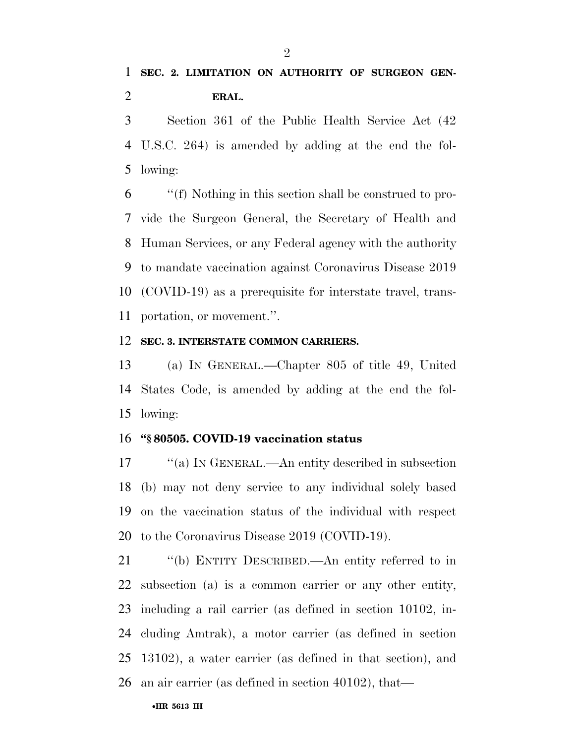Section 361 of the Public Health Service Act (42 U.S.C. 264) is amended by adding at the end the fol-lowing:

 ''(f) Nothing in this section shall be construed to pro- vide the Surgeon General, the Secretary of Health and Human Services, or any Federal agency with the authority to mandate vaccination against Coronavirus Disease 2019 (COVID-19) as a prerequisite for interstate travel, trans-portation, or movement.''.

### **SEC. 3. INTERSTATE COMMON CARRIERS.**

 (a) IN GENERAL.—Chapter 805 of title 49, United States Code, is amended by adding at the end the fol-lowing:

### **''§ 80505. COVID-19 vaccination status**

17 "(a) IN GENERAL.—An entity described in subsection (b) may not deny service to any individual solely based on the vaccination status of the individual with respect to the Coronavirus Disease 2019 (COVID-19).

 ''(b) ENTITY DESCRIBED.—An entity referred to in subsection (a) is a common carrier or any other entity, including a rail carrier (as defined in section 10102, in- cluding Amtrak), a motor carrier (as defined in section 13102), a water carrier (as defined in that section), and an air carrier (as defined in section 40102), that